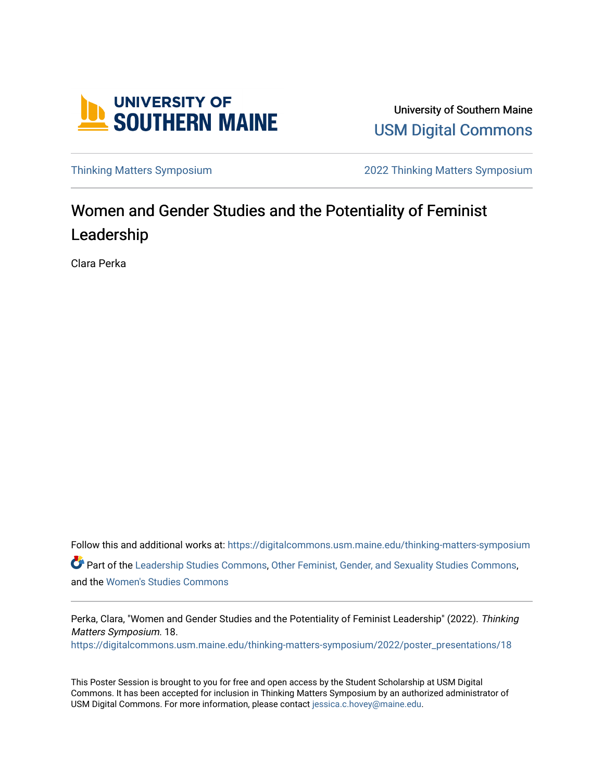

University of Southern Maine [USM Digital Commons](https://digitalcommons.usm.maine.edu/) 

[Thinking Matters Symposium](https://digitalcommons.usm.maine.edu/thinking-matters-symposium) [2022 Thinking Matters Symposium](https://digitalcommons.usm.maine.edu/thinking-matters-symposium/2022) 

#### Women and Gender Studies and the Potentiality of Feminist Leadership

Clara Perka

Follow this and additional works at: [https://digitalcommons.usm.maine.edu/thinking-matters-symposium](https://digitalcommons.usm.maine.edu/thinking-matters-symposium?utm_source=digitalcommons.usm.maine.edu%2Fthinking-matters-symposium%2F2022%2Fposter_presentations%2F18&utm_medium=PDF&utm_campaign=PDFCoverPages)  Part of the [Leadership Studies Commons,](http://network.bepress.com/hgg/discipline/1250?utm_source=digitalcommons.usm.maine.edu%2Fthinking-matters-symposium%2F2022%2Fposter_presentations%2F18&utm_medium=PDF&utm_campaign=PDFCoverPages) [Other Feminist, Gender, and Sexuality Studies Commons,](http://network.bepress.com/hgg/discipline/562?utm_source=digitalcommons.usm.maine.edu%2Fthinking-matters-symposium%2F2022%2Fposter_presentations%2F18&utm_medium=PDF&utm_campaign=PDFCoverPages) and the [Women's Studies Commons](http://network.bepress.com/hgg/discipline/561?utm_source=digitalcommons.usm.maine.edu%2Fthinking-matters-symposium%2F2022%2Fposter_presentations%2F18&utm_medium=PDF&utm_campaign=PDFCoverPages) 

Perka, Clara, "Women and Gender Studies and the Potentiality of Feminist Leadership" (2022). Thinking Matters Symposium. 18. [https://digitalcommons.usm.maine.edu/thinking-matters-symposium/2022/poster\\_presentations/18](https://digitalcommons.usm.maine.edu/thinking-matters-symposium/2022/poster_presentations/18?utm_source=digitalcommons.usm.maine.edu%2Fthinking-matters-symposium%2F2022%2Fposter_presentations%2F18&utm_medium=PDF&utm_campaign=PDFCoverPages) 

This Poster Session is brought to you for free and open access by the Student Scholarship at USM Digital Commons. It has been accepted for inclusion in Thinking Matters Symposium by an authorized administrator of USM Digital Commons. For more information, please contact [jessica.c.hovey@maine.edu](mailto:ian.fowler@maine.edu).